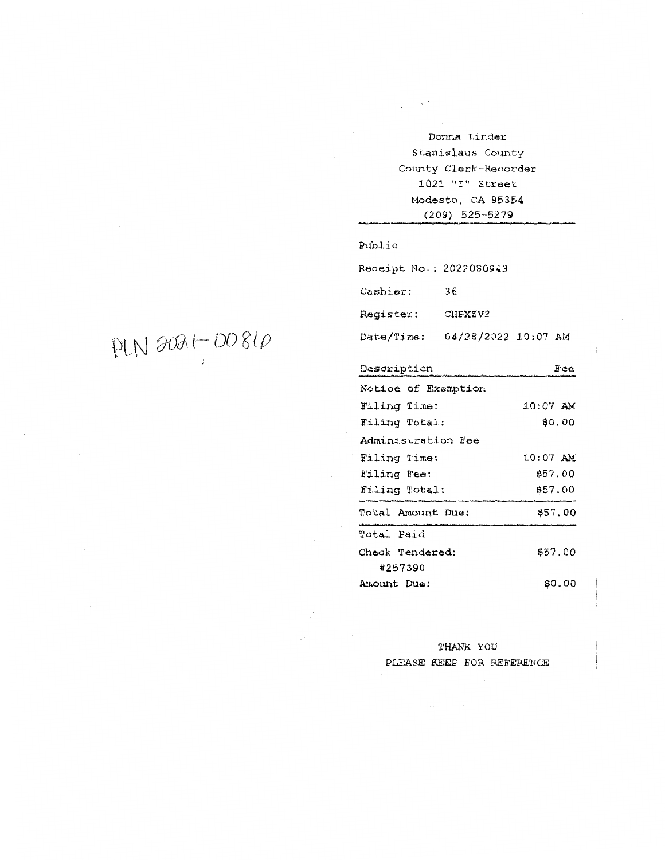Dorma Linder Stanislaus County County Clerk-Recorder 1021 "I" Street Modesto, CA 95354 (209) 525-5279

## Public

Receipt No.: 2022080943

Cashier: 36

Register.: CHPXZV2

Date/Time: 04/28/2022 10:07 **AM** 

| Description         | Fee        |  |  |  |
|---------------------|------------|--|--|--|
| Notice of Exemption |            |  |  |  |
| Filing Time:        | $10:07$ AM |  |  |  |
| Filing Total:       | \$0.00     |  |  |  |
| Administration Fee  |            |  |  |  |
| Filing Time:        | $10:07$ AM |  |  |  |
| Filing Fee:         | 857.00     |  |  |  |
| Filing Total:       | \$57.00    |  |  |  |
| Total Amount Due:   | \$57.00    |  |  |  |
| Total Paid          |            |  |  |  |
| Check Tendered:     | \$57.00    |  |  |  |
| #257390             |            |  |  |  |
| Amount Due:         | \$0.00     |  |  |  |

# THANK YOU PLEASE KEEP FOR REFERENCE

 $PINROBH, DO8LQ$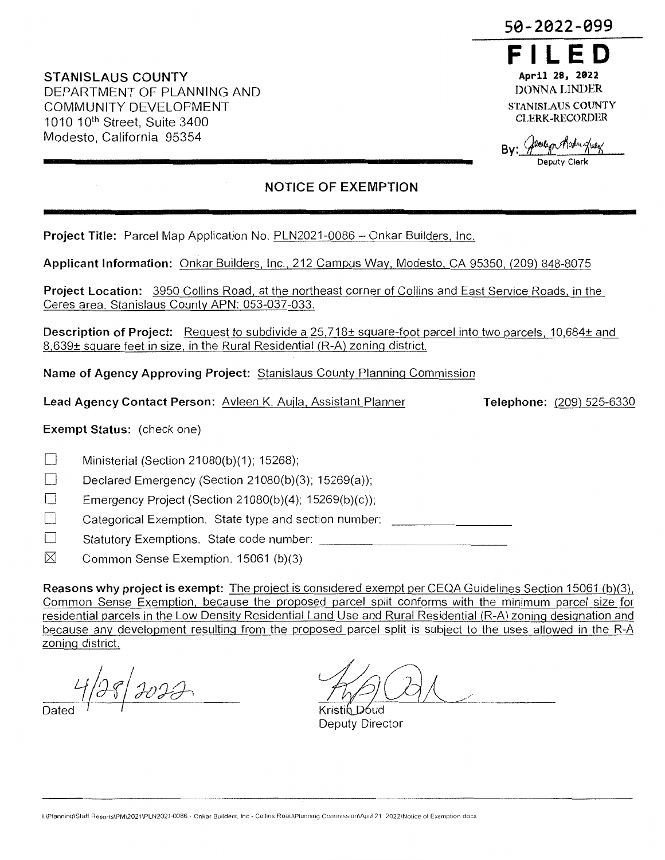**STANISLAUS COUNTY**  DEPARTMENT OF PLANNING AND COMMUNITY DEVELOPMENT 1010 10<sup>th</sup> Street, Suite 3400 Modesto, California 95354

# **50-2022-099**



 $By:$  General production

**Deputy Clerk** 

# **NOTICE OF EXEMPTION**

**Project Title: Parcel Map Application No. PLN2021-0086 - Onkar Builders, Inc.** 

**Applicant Information:** Onkar Builders, Inc., 212 Campus Way, Modesto, CA 95350, (209) 848-8075

**Project Location:** 3950 Collins Road, at the northeast corner of Collins and East Service Roads, in the Ceres area. Stanislaus County APN: 053-037-033.

**Description of Project:** Request to subdivide a 25,718± square-foot parcel into two parcels, 10,684± and 8,639± square feet in size, in the Rural Residential (R-A) zoning district.

**Name of Agency Approving Project:** Stanislaus County Planning Commission

**Lead Agency Contact Person:** Avleen K. Aujla, Assistant Planner

**Exempt Status:** (check one)

 $\Box$  Ministerial (Section 21080(b)(1); 15268);

Declared Emergency (Section 21080(b)(3); 15269(a));

**Emergency Project (Section 21080(b)(4); 15269(b)(c));** 

 $\Box$  Categorical Exemption. State type and section number:

 $\Box$  Statutory Exemptions. State code number:

 $\boxtimes$  Common Sense Exemption. 15061 (b)(3)

**Reasons why project is exempt:** The project is considered exempt per CEQA Guidelines Section 15061 (b)(3), Common Sense Exemption, because the proposed parcel split conforms with the minimum parcel size for residential parcels in the Low Density Residential Land Use and Rural Residential (R-A) zoning designation and because any development resulting from the proposed parcel split is subject to the uses allowed in the R-A zoning district.

1/28/2023 Dated <sup>I</sup> I

Kristih Dóud Deputy Director

**Telephone:** (209) 525-6330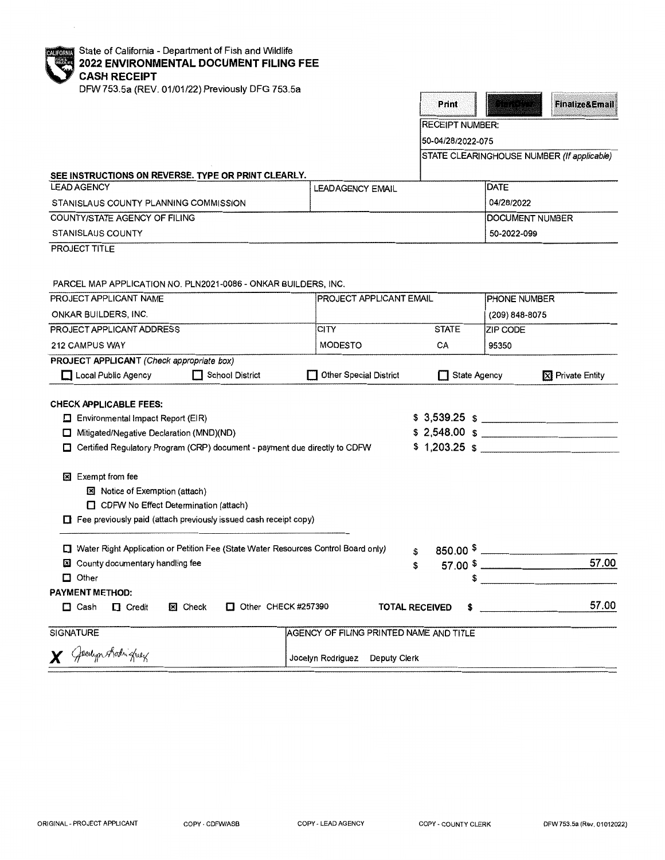| <b>CALIFORNIA</b> | Stat |
|-------------------|------|
|                   | 202  |
|                   | CA:  |
|                   |      |

te of California - Department of Fish and Wildlife **2022 ENVIRONMENTAL DOCUMENT FILING FEE SH RECEIPT** 

DFW 753.5a (REV. 01/01/22) Previously DFG 753.5a



50-04/28/2022-075

STATE CLEARINGHOUSE NUMBER (If applicable)

## **SEE INSTRUCTIONS ON REVERSE. TYPE OR PRINT CLEARLY.**

| <b>LEAD AGENCY</b>                    | <b>LEADAGENCY EMAIL</b> | <b>IDATE</b>           |
|---------------------------------------|-------------------------|------------------------|
| STANISLAUS COUNTY PLANNING COMMISSION |                         | 04/28/2022             |
| COUNTY/STATE AGENCY OF FILING         |                         | <b>DOCUMENT NUMBER</b> |
| <b>STANISLAUS COUNTY</b>              |                         | 50-2022-099            |

PROJECT TITLE

PARCEL MAP APPLICATION NO. PLN2021-0086 - ONKAR BUILDERS, INC.

| PROJECT APPLICANT NAME                                                             |                                                                            |                                         | <b>PROJECT APPLICANT EMAIL</b> |                | <b>PHONE NUMBER</b>     |  |
|------------------------------------------------------------------------------------|----------------------------------------------------------------------------|-----------------------------------------|--------------------------------|----------------|-------------------------|--|
| <b>ONKAR BUILDERS, INC.</b>                                                        |                                                                            |                                         |                                | (209) 848-8075 |                         |  |
| PROJECT APPLICANT ADDRESS                                                          |                                                                            | <b>CITY</b>                             | <b>STATE</b>                   | ZIP CODE       |                         |  |
| 212 CAMPUS WAY                                                                     |                                                                            | <b>MODESTO</b>                          | CA                             | 95350          |                         |  |
| <b>PROJECT APPLICANT</b> (Check appropriate box)                                   |                                                                            |                                         |                                |                |                         |  |
| Local Public Agency                                                                | <b>School District</b><br>П                                                | <b>Other Special District</b><br>П      | State Agency                   |                | <b>X</b> Private Entity |  |
| <b>CHECK APPLICABLE FEES:</b>                                                      |                                                                            |                                         |                                |                |                         |  |
| $\Box$ Environmental Impact Report (EIR)                                           |                                                                            |                                         |                                |                |                         |  |
| Mitigated/Negative Declaration (MND)(ND)<br>□                                      |                                                                            |                                         |                                |                | $$2,548.00$ $$$         |  |
| □                                                                                  | Certified Regulatory Program (CRP) document - payment due directly to CDFW |                                         |                                |                |                         |  |
|                                                                                    |                                                                            |                                         |                                |                |                         |  |
| Exempt from fee<br>⊠                                                               |                                                                            |                                         |                                |                |                         |  |
| <b>图 Notice of Exemption (attach)</b>                                              |                                                                            |                                         |                                |                |                         |  |
| CDFW No Effect Determination (attach)                                              |                                                                            |                                         |                                |                |                         |  |
| $\Box$ Fee previously paid (attach previously issued cash receipt copy)            |                                                                            |                                         |                                |                |                         |  |
| Water Right Application or Petition Fee (State Water Resources Control Board only) |                                                                            |                                         |                                |                |                         |  |
| County documentary handling fee<br>×                                               |                                                                            |                                         | 850.00 $\sqrt[5]{\ }$<br>\$    |                | 57.00                   |  |
| $\Box$ Other                                                                       |                                                                            |                                         | \$<br>\$                       |                |                         |  |
| <b>PAYMENT METHOD:</b>                                                             |                                                                            |                                         |                                |                |                         |  |
| $\Box$ Cash<br>$\Box$ Credit                                                       | Other CHECK #257390<br><b>図 Check</b>                                      |                                         | <b>TOTAL RECEIVED</b><br>S     |                | 57.00                   |  |
|                                                                                    |                                                                            |                                         |                                |                |                         |  |
| <b>SIGNATURE</b>                                                                   |                                                                            | AGENCY OF FILING PRINTED NAME AND TITLE |                                |                |                         |  |
| X Gentyn Archighey                                                                 |                                                                            | Jocelyn Rodriguez Deputy Clerk          |                                |                |                         |  |
|                                                                                    |                                                                            |                                         |                                |                |                         |  |